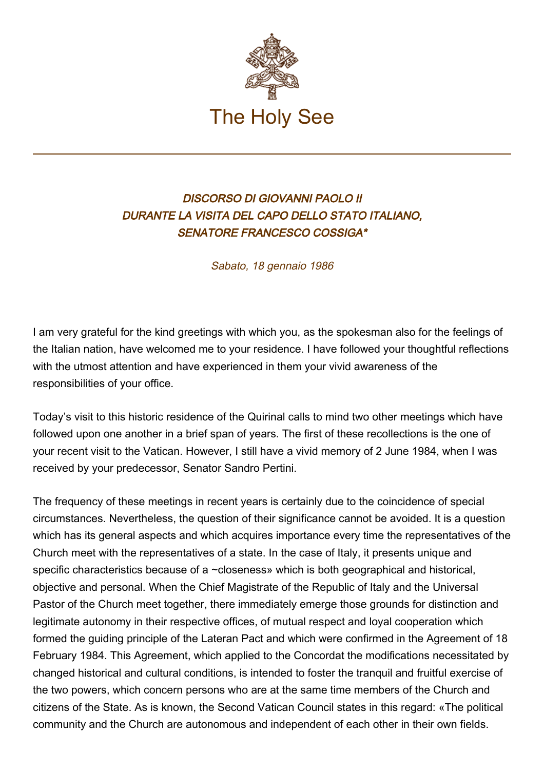

## DISCORSO DI GIOVANNI PAOLO II DURANTE LA VISITA DEL CAPO DELLO STATO ITALIANO, SENATORE FRANCESCO COSSIGA\*

Sabato, 18 gennaio 1986

I am very grateful for the kind greetings with which you, as the spokesman also for the feelings of the Italian nation, have welcomed me to your residence. I have followed your thoughtful reflections with the utmost attention and have experienced in them your vivid awareness of the responsibilities of your office.

Today's visit to this historic residence of the Quirinal calls to mind two other meetings which have followed upon one another in a brief span of years. The first of these recollections is the one of your recent visit to the Vatican. However, I still have a vivid memory of 2 June 1984, when I was received by your predecessor, Senator Sandro Pertini.

The frequency of these meetings in recent years is certainly due to the coincidence of special circumstances. Nevertheless, the question of their significance cannot be avoided. It is a question which has its general aspects and which acquires importance every time the representatives of the Church meet with the representatives of a state. In the case of Italy, it presents unique and specific characteristics because of a ~closeness» which is both geographical and historical, objective and personal. When the Chief Magistrate of the Republic of Italy and the Universal Pastor of the Church meet together, there immediately emerge those grounds for distinction and legitimate autonomy in their respective offices, of mutual respect and loyal cooperation which formed the guiding principle of the Lateran Pact and which were confirmed in the Agreement of 18 February 1984. This Agreement, which applied to the Concordat the modifications necessitated by changed historical and cultural conditions, is intended to foster the tranquil and fruitful exercise of the two powers, which concern persons who are at the same time members of the Church and citizens of the State. As is known, the Second Vatican Council states in this regard: «The political community and the Church are autonomous and independent of each other in their own fields.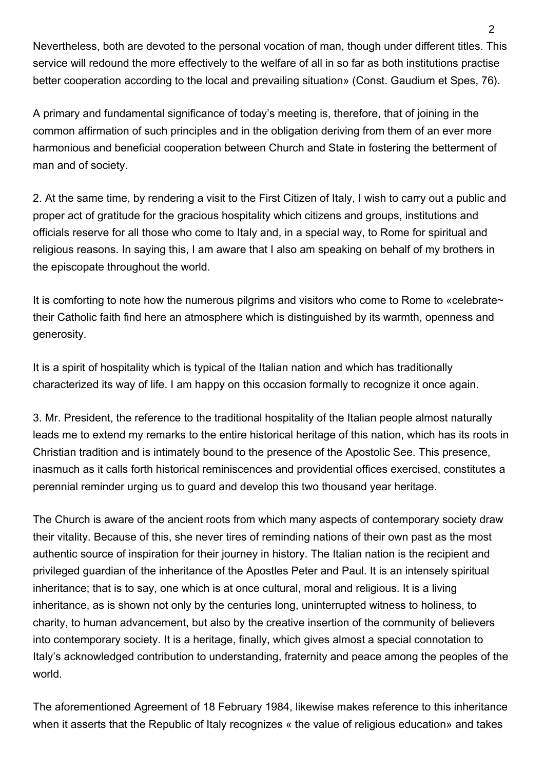Nevertheless, both are devoted to the personal vocation of man, though under different titles. This service will redound the more effectively to the welfare of all in so far as both institutions practise better cooperation according to the local and prevailing situation» (Const. Gaudium et Spes, 76).

A primary and fundamental significance of today's meeting is, therefore, that of joining in the common affirmation of such principles and in the obligation deriving from them of an ever more harmonious and beneficial cooperation between Church and State in fostering the betterment of man and of society.

2. At the same time, by rendering a visit to the First Citizen of Italy, I wish to carry out a public and proper act of gratitude for the gracious hospitality which citizens and groups, institutions and officials reserve for all those who come to Italy and, in a special way, to Rome for spiritual and religious reasons. In saying this, I am aware that I also am speaking on behalf of my brothers in the episcopate throughout the world.

It is comforting to note how the numerous pilgrims and visitors who come to Rome to «celebrate~ their Catholic faith find here an atmosphere which is distinguished by its warmth, openness and generosity.

It is a spirit of hospitality which is typical of the Italian nation and which has traditionally characterized its way of life. I am happy on this occasion formally to recognize it once again.

3. Mr. President, the reference to the traditional hospitality of the Italian people almost naturally leads me to extend my remarks to the entire historical heritage of this nation, which has its roots in Christian tradition and is intimately bound to the presence of the Apostolic See. This presence, inasmuch as it calls forth historical reminiscences and providential offices exercised, constitutes a perennial reminder urging us to guard and develop this two thousand year heritage.

The Church is aware of the ancient roots from which many aspects of contemporary society draw their vitality. Because of this, she never tires of reminding nations of their own past as the most authentic source of inspiration for their journey in history. The Italian nation is the recipient and privileged guardian of the inheritance of the Apostles Peter and Paul. It is an intensely spiritual inheritance; that is to say, one which is at once cultural, moral and religious. It is a living inheritance, as is shown not only by the centuries long, uninterrupted witness to holiness, to charity, to human advancement, but also by the creative insertion of the community of believers into contemporary society. It is a heritage, finally, which gives almost a special connotation to Italy's acknowledged contribution to understanding, fraternity and peace among the peoples of the world.

The aforementioned Agreement of 18 February 1984, likewise makes reference to this inheritance when it asserts that the Republic of Italy recognizes « the value of religious education» and takes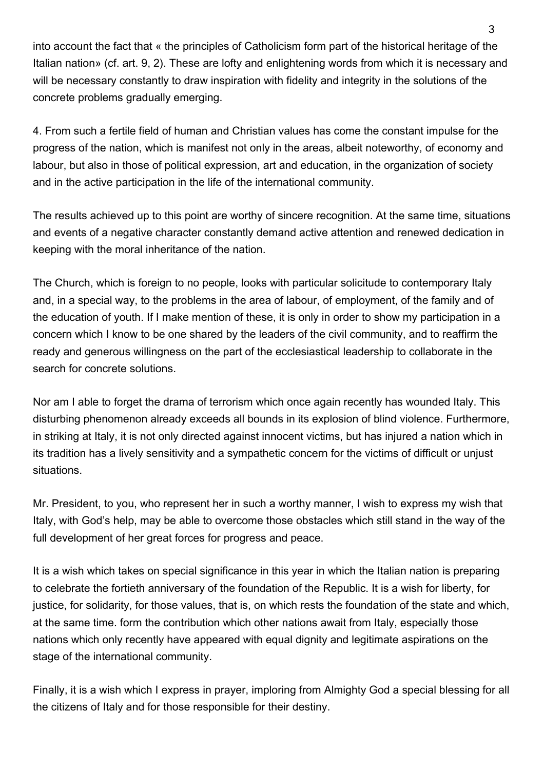into account the fact that « the principles of Catholicism form part of the historical heritage of the Italian nation» (cf. art. 9, 2). These are lofty and enlightening words from which it is necessary and will be necessary constantly to draw inspiration with fidelity and integrity in the solutions of the concrete problems gradually emerging.

4. From such a fertile field of human and Christian values has come the constant impulse for the progress of the nation, which is manifest not only in the areas, albeit noteworthy, of economy and labour, but also in those of political expression, art and education, in the organization of society and in the active participation in the life of the international community.

The results achieved up to this point are worthy of sincere recognition. At the same time, situations and events of a negative character constantly demand active attention and renewed dedication in keeping with the moral inheritance of the nation.

The Church, which is foreign to no people, looks with particular solicitude to contemporary Italy and, in a special way, to the problems in the area of labour, of employment, of the family and of the education of youth. If I make mention of these, it is only in order to show my participation in a concern which I know to be one shared by the leaders of the civil community, and to reaffirm the ready and generous willingness on the part of the ecclesiastical leadership to collaborate in the search for concrete solutions.

Nor am I able to forget the drama of terrorism which once again recently has wounded Italy. This disturbing phenomenon already exceeds all bounds in its explosion of blind violence. Furthermore, in striking at Italy, it is not only directed against innocent victims, but has injured a nation which in its tradition has a lively sensitivity and a sympathetic concern for the victims of difficult or unjust situations.

Mr. President, to you, who represent her in such a worthy manner, I wish to express my wish that Italy, with God's help, may be able to overcome those obstacles which still stand in the way of the full development of her great forces for progress and peace.

It is a wish which takes on special significance in this year in which the Italian nation is preparing to celebrate the fortieth anniversary of the foundation of the Republic. It is a wish for liberty, for justice, for solidarity, for those values, that is, on which rests the foundation of the state and which, at the same time. form the contribution which other nations await from Italy, especially those nations which only recently have appeared with equal dignity and legitimate aspirations on the stage of the international community.

Finally, it is a wish which I express in prayer, imploring from Almighty God a special blessing for all the citizens of Italy and for those responsible for their destiny.